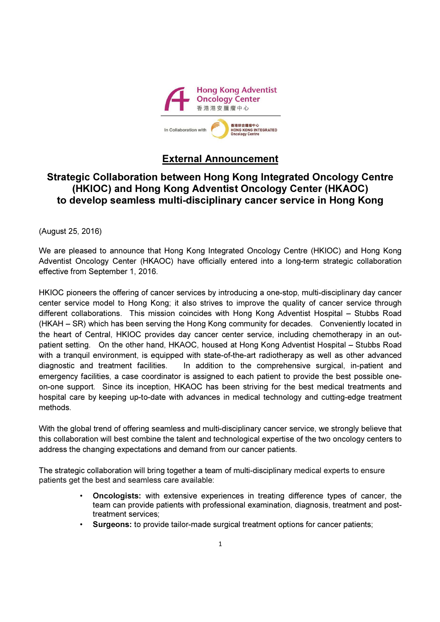

## External Announcement

## Strategic Collaboration between Hong Kong Integrated Oncology Centre (HKIOC) and Hong Kong Adventist Oncology Center (HKAOC) to develop seamless multi-disciplinary cancer service in Hong Kong

(August 25, 2016)

We are pleased to announce that Hong Kong Integrated Oncology Centre (HKIOC) and Hong Kong Adventist Oncology Center (HKAOC) have officially entered into a long-term strategic collaboration effective from September 1, 2016.

HKIOC pioneers the offering of cancer services by introducing a one-stop, multi-disciplinary day cancer center service model to Hong Kong; it also strives to improve the quality of cancer service through different collaborations. This mission coincides with Hong Kong Adventist Hospital – Stubbs Road (HKAH – SR) which has been serving the Hong Kong community for decades. Conveniently located in the heart of Central, HKIOC provides day cancer center service, including chemotherapy in an outpatient setting. On the other hand, HKAOC, housed at Hong Kong Adventist Hospital – Stubbs Road with a tranquil environment, is equipped with state-of-the-art radiotherapy as well as other advanced diagnostic and treatment facilities. In addition to the comprehensive surgical, in-patient and emergency facilities, a case coordinator is assigned to each patient to provide the best possible oneon-one support. Since its inception, HKAOC has been striving for the best medical treatments and hospital care by keeping up-to-date with advances in medical technology and cutting-edge treatment methods.

With the global trend of offering seamless and multi-disciplinary cancer service, we strongly believe that this collaboration will best combine the talent and technological expertise of the two oncology centers to address the changing expectations and demand from our cancer patients.

The strategic collaboration will bring together a team of multi-disciplinary medical experts to ensure patients get the best and seamless care available:

- Oncologists: with extensive experiences in treating difference types of cancer, the team can provide patients with professional examination, diagnosis, treatment and posttreatment services;
- Surgeons: to provide tailor-made surgical treatment options for cancer patients;